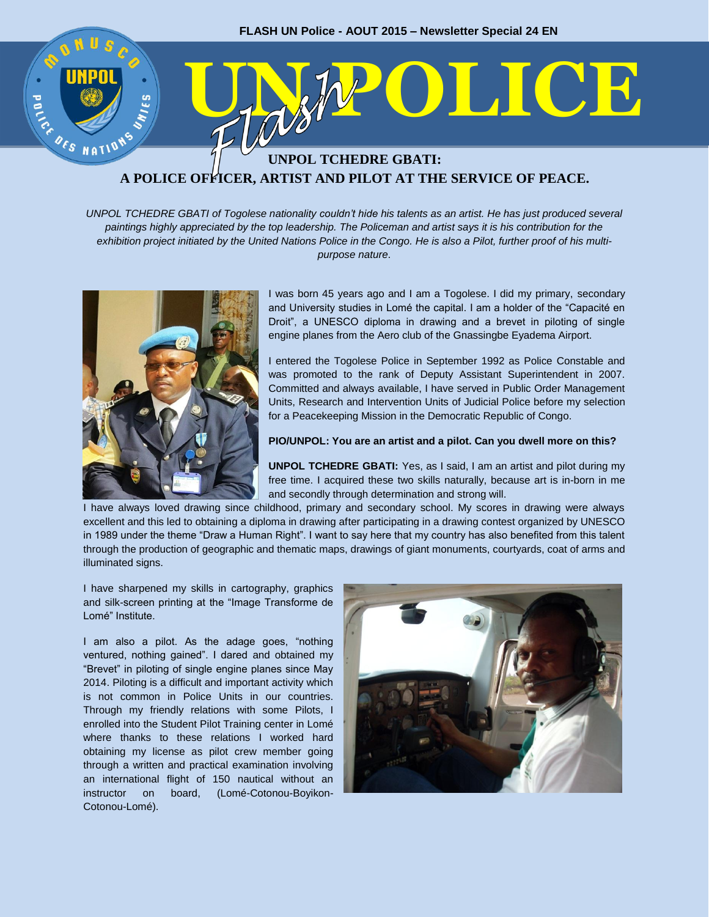

# **A POLICE OFFICER, ARTIST AND PILOT AT THE SERVICE OF PEACE.**

*UNPOL TCHEDRE GBATI of Togolese nationality couldn't hide his talents as an artist. He has just produced several paintings highly appreciated by the top leadership. The Policeman and artist says it is his contribution for the exhibition project initiated by the United Nations Police in the Congo. He is also a Pilot, further proof of his multipurpose nature*.



I was born 45 years ago and I am a Togolese. I did my primary, secondary and University studies in Lomé the capital. I am a holder of the "Capacité en Droit", a UNESCO diploma in drawing and a brevet in piloting of single engine planes from the Aero club of the Gnassingbe Eyadema Airport.

I entered the Togolese Police in September 1992 as Police Constable and was promoted to the rank of Deputy Assistant Superintendent in 2007. Committed and always available, I have served in Public Order Management Units, Research and Intervention Units of Judicial Police before my selection for a Peacekeeping Mission in the Democratic Republic of Congo.

#### **PIO/UNPOL: You are an artist and a pilot. Can you dwell more on this?**

**UNPOL TCHEDRE GBATI:** Yes, as I said, I am an artist and pilot during my free time. I acquired these two skills naturally, because art is in-born in me and secondly through determination and strong will.

I have always loved drawing since childhood, primary and secondary school. My scores in drawing were always excellent and this led to obtaining a diploma in drawing after participating in a drawing contest organized by UNESCO in 1989 under the theme "Draw a Human Right". I want to say here that my country has also benefited from this talent through the production of geographic and thematic maps, drawings of giant monuments, courtyards, coat of arms and illuminated signs.

I have sharpened my skills in cartography, graphics and silk-screen printing at the "Image Transforme de Lomé" Institute.

I am also a pilot. As the adage goes, "nothing ventured, nothing gained". I dared and obtained my "Brevet" in piloting of single engine planes since May 2014. Piloting is a difficult and important activity which is not common in Police Units in our countries. Through my friendly relations with some Pilots, I enrolled into the Student Pilot Training center in Lomé where thanks to these relations I worked hard obtaining my license as pilot crew member going through a written and practical examination involving an international flight of 150 nautical without an instructor on board, (Lomé-Cotonou-Boyikon-Cotonou-Lomé).

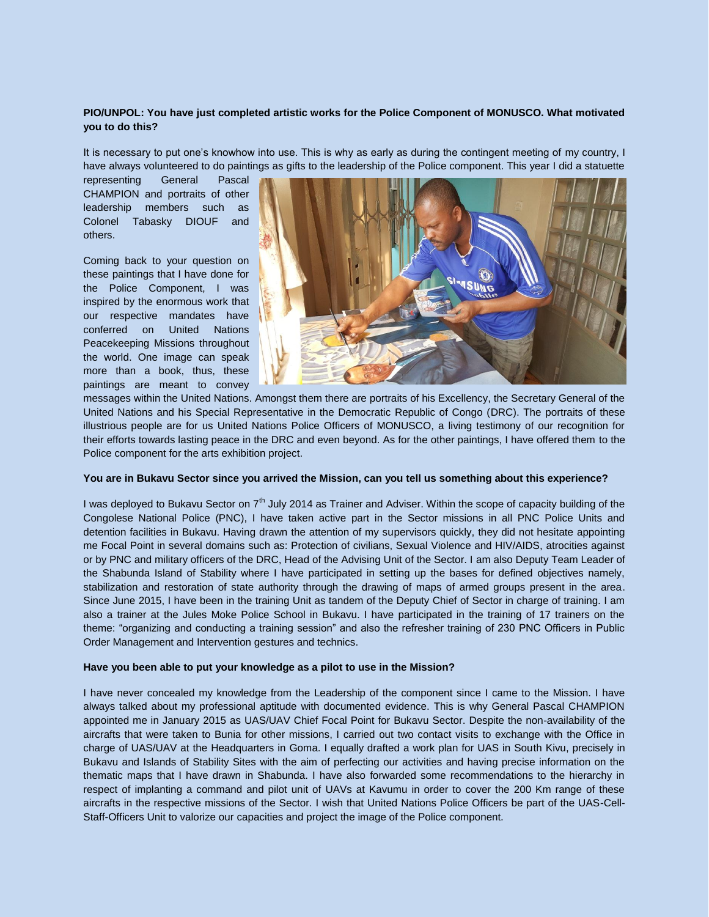## **PIO/UNPOL: You have just completed artistic works for the Police Component of MONUSCO. What motivated you to do this?**

It is necessary to put one's knowhow into use. This is why as early as during the contingent meeting of my country, I have always volunteered to do paintings as gifts to the leadership of the Police component. This year I did a statuette

representing General Pascal CHAMPION and portraits of other leadership members such as Colonel Tabasky DIOUF and others.

Coming back to your question on these paintings that I have done for the Police Component, I was inspired by the enormous work that our respective mandates have conferred on United Nations Peacekeeping Missions throughout the world. One image can speak more than a book, thus, these paintings are meant to convey



messages within the United Nations. Amongst them there are portraits of his Excellency, the Secretary General of the United Nations and his Special Representative in the Democratic Republic of Congo (DRC). The portraits of these illustrious people are for us United Nations Police Officers of MONUSCO, a living testimony of our recognition for their efforts towards lasting peace in the DRC and even beyond. As for the other paintings, I have offered them to the Police component for the arts exhibition project.

## **You are in Bukavu Sector since you arrived the Mission, can you tell us something about this experience?**

I was deployed to Bukavu Sector on  $7<sup>th</sup>$  July 2014 as Trainer and Adviser. Within the scope of capacity building of the Congolese National Police (PNC), I have taken active part in the Sector missions in all PNC Police Units and detention facilities in Bukavu. Having drawn the attention of my supervisors quickly, they did not hesitate appointing me Focal Point in several domains such as: Protection of civilians, Sexual Violence and HIV/AIDS, atrocities against or by PNC and military officers of the DRC, Head of the Advising Unit of the Sector. I am also Deputy Team Leader of the Shabunda Island of Stability where I have participated in setting up the bases for defined objectives namely, stabilization and restoration of state authority through the drawing of maps of armed groups present in the area. Since June 2015, I have been in the training Unit as tandem of the Deputy Chief of Sector in charge of training. I am also a trainer at the Jules Moke Police School in Bukavu. I have participated in the training of 17 trainers on the theme: "organizing and conducting a training session" and also the refresher training of 230 PNC Officers in Public Order Management and Intervention gestures and technics.

## **Have you been able to put your knowledge as a pilot to use in the Mission?**

I have never concealed my knowledge from the Leadership of the component since I came to the Mission. I have always talked about my professional aptitude with documented evidence. This is why General Pascal CHAMPION appointed me in January 2015 as UAS/UAV Chief Focal Point for Bukavu Sector. Despite the non-availability of the aircrafts that were taken to Bunia for other missions, I carried out two contact visits to exchange with the Office in charge of UAS/UAV at the Headquarters in Goma. I equally drafted a work plan for UAS in South Kivu, precisely in Bukavu and Islands of Stability Sites with the aim of perfecting our activities and having precise information on the thematic maps that I have drawn in Shabunda. I have also forwarded some recommendations to the hierarchy in respect of implanting a command and pilot unit of UAVs at Kavumu in order to cover the 200 Km range of these aircrafts in the respective missions of the Sector. I wish that United Nations Police Officers be part of the UAS-Cell-Staff-Officers Unit to valorize our capacities and project the image of the Police component.